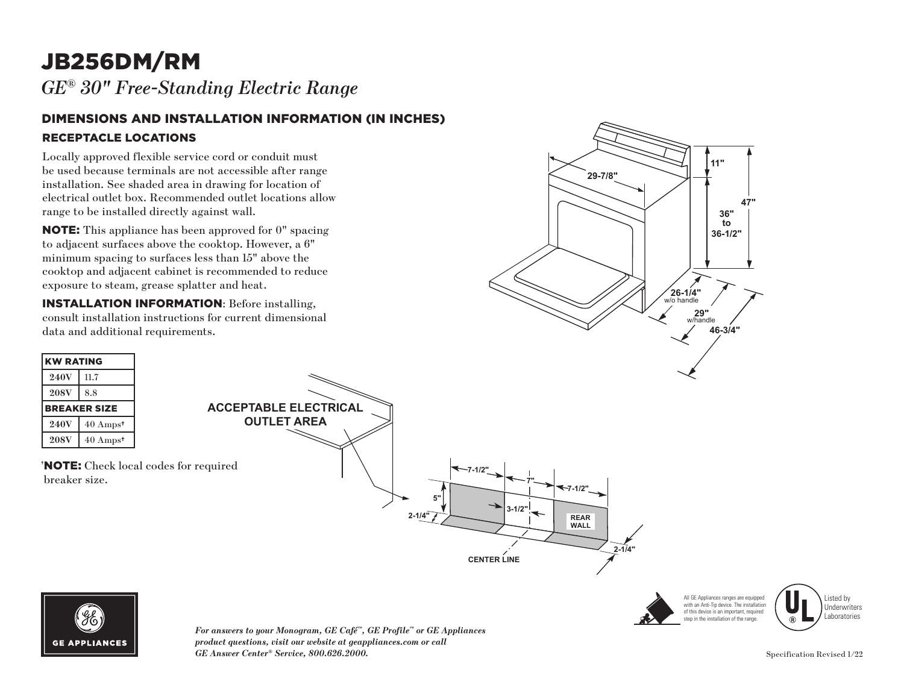# JB256DM/RM

*GE® 30" Free-Standing Electric Range* 

#### DIMENSIONS AND INSTALLATION INFORMATION (IN INCHES) RECEPTACLE LOCATIONS

Locally approved flexible service cord or conduit must be used because terminals are not accessible after range installation. See shaded area in drawing for location of electrical outlet box. Recommended outlet locations allow range to be installed directly against wall.

NOTE: This appliance has been approved for 0" spacing to adjacent surfaces above the cooktop. However, a 6" minimum spacing to surfaces less than 15" above the cooktop and adjacent cabinet is recommended to reduce exposure to steam, grease splatter and heat.

INSTALLATION INFORMATION: Before installing, consult installation instructions for current dimensional data and additional requirements.











*For answers to your Monogram, GE Café™, GE Profile™ or GE Appliances*  product questions, visit our website at geappliances.com or call *GE Answer Center® Service, 800.626.2000.* Specification Revised 1/22 **29"**